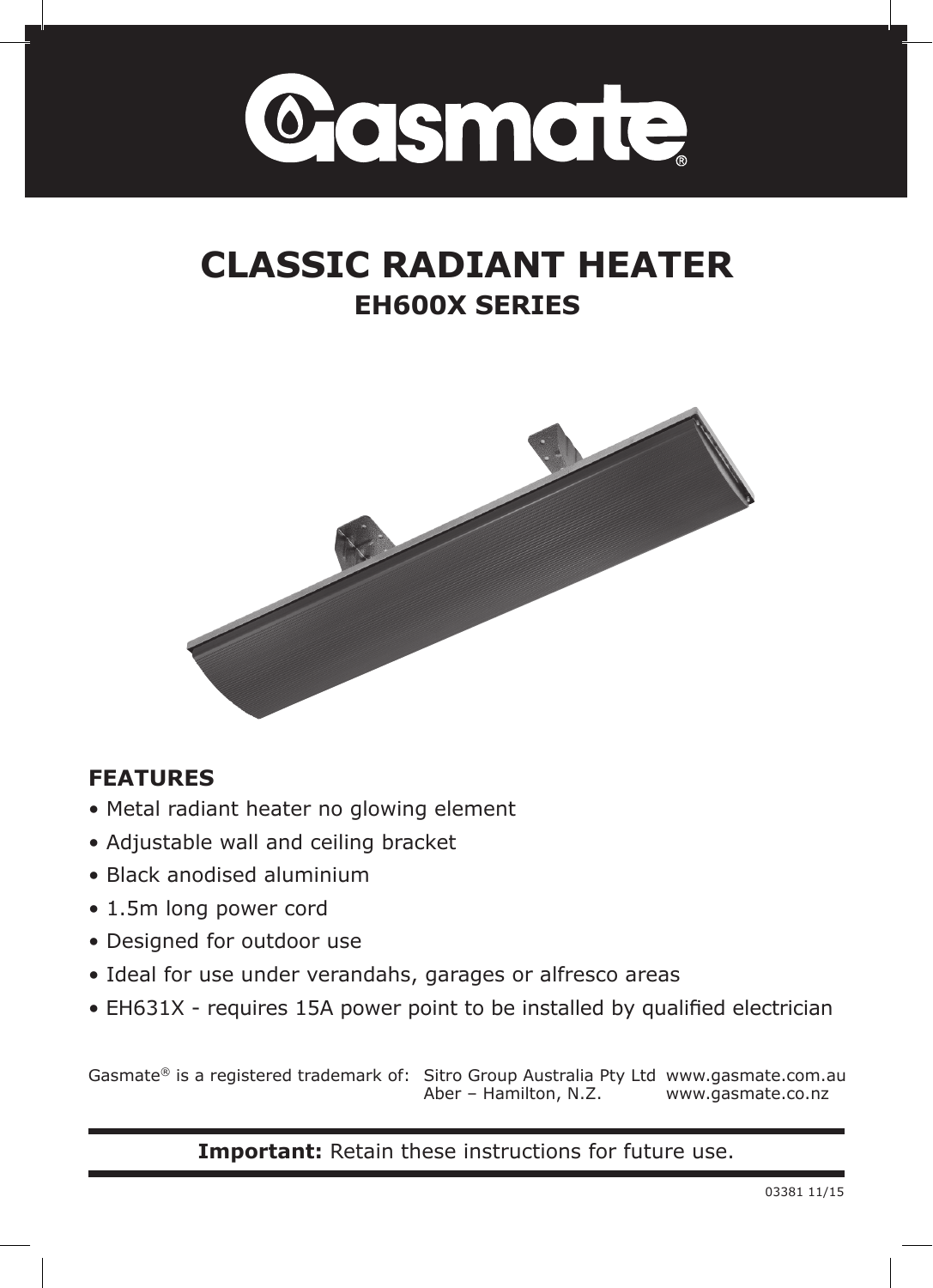

# **CLASSIC RADIANT HEATER EH600X SERIES**



## **FEATURES**

- Metal radiant heater no glowing element
- Adjustable wall and ceiling bracket
- Black anodised aluminium
- 1.5m long power cord
- Designed for outdoor use
- Ideal for use under verandahs, garages or alfresco areas
- EH631X requires 15A power point to be installed by qualified electrician

Gasmate® is a registered trademark of: Sitro Group Australia Pty Ltd www.gasmate.com.au Aber – Hamilton, N.Z. www.gasmate.co.nz

**Important:** Retain these instructions for future use.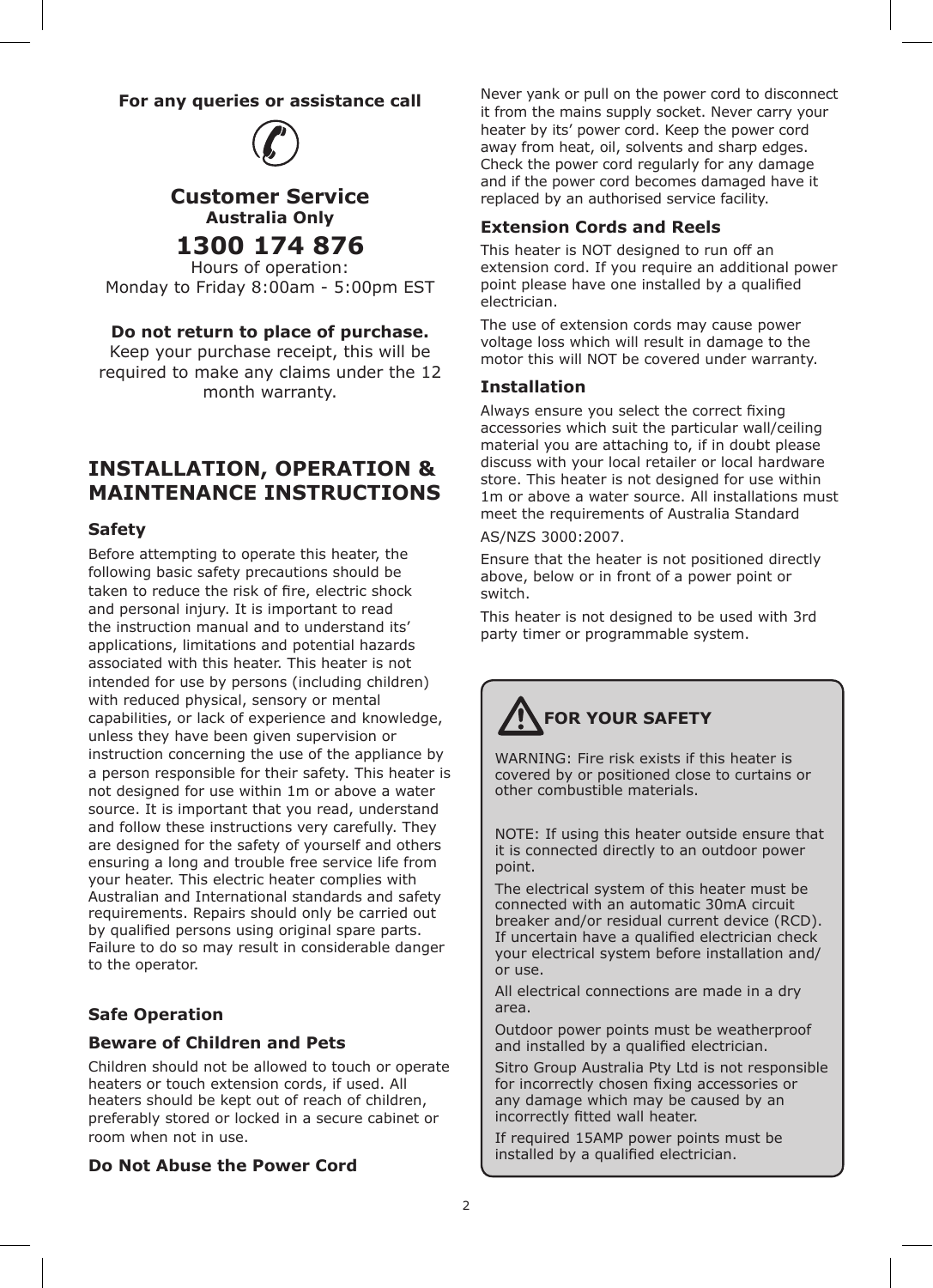#### **For any queries or assistance call**



#### **Customer Service Australia Only 1300 174 876**

Hours of operation: Monday to Friday 8:00am - 5:00pm EST

#### **Do not return to place of purchase.**

Keep your purchase receipt, this will be required to make any claims under the 12 month warranty.

### **Installation, Operation & Maintenance Instructions**

#### **Safety**

Before attempting to operate this heater, the following basic safety precautions should be taken to reduce the risk of fire, electric shock and personal injury. It is important to read the instruction manual and to understand its' applications, limitations and potential hazards associated with this heater. This heater is not intended for use by persons (including children) with reduced physical, sensory or mental capabilities, or lack of experience and knowledge, unless they have been given supervision or instruction concerning the use of the appliance by a person responsible for their safety. This heater is not designed for use within 1m or above a water source. It is important that you read, understand and follow these instructions very carefully. They are designed for the safety of yourself and others ensuring a long and trouble free service life from your heater. This electric heater complies with Australian and International standards and safety requirements. Repairs should only be carried out by qualified persons using original spare parts. Failure to do so may result in considerable danger to the operator.

#### **Safe Operation**

#### **Beware of Children and Pets**

Children should not be allowed to touch or operate heaters or touch extension cords, if used. All heaters should be kept out of reach of children, preferably stored or locked in a secure cabinet or room when not in use.

#### **Do Not Abuse the Power Cord**

Never yank or pull on the power cord to disconnect it from the mains supply socket. Never carry your heater by its' power cord. Keep the power cord away from heat, oil, solvents and sharp edges. Check the power cord regularly for any damage and if the power cord becomes damaged have it replaced by an authorised service facility.

#### **Extension Cords and Reels**

This heater is NOT designed to run off an extension cord. If you require an additional power point please have one installed by a qualified electrician.

The use of extension cords may cause power voltage loss which will result in damage to the motor this will NOT be covered under warranty.

#### **Installation**

Always ensure you select the correct fixing accessories which suit the particular wall/ceiling material you are attaching to, if in doubt please discuss with your local retailer or local hardware store. This heater is not designed for use within 1m or above a water source. All installations must meet the requirements of Australia Standard

#### AS/NZS 3000:2007.

Ensure that the heater is not positioned directly above, below or in front of a power point or switch.

This heater is not designed to be used with 3rd party timer or programmable system.

# **For your safety**

WARNING: Fire risk exists if this heater is covered by or positioned close to curtains or other combustible materials.

NOTE: If using this heater outside ensure that it is connected directly to an outdoor power point.

The electrical system of this heater must be connected with an automatic 30mA circuit breaker and/or residual current device (RCD). If uncertain have a qualified electrician check your electrical system before installation and/ or use.

All electrical connections are made in a dry area.

Outdoor power points must be weatherproof and installed by a qualified electrician.

Sitro Group Australia Pty Ltd is not responsible for incorrectly chosen fixing accessories or any damage which may be caused by an incorrectly fitted wall heater.

If required 15AMP power points must be installed by a qualified electrician.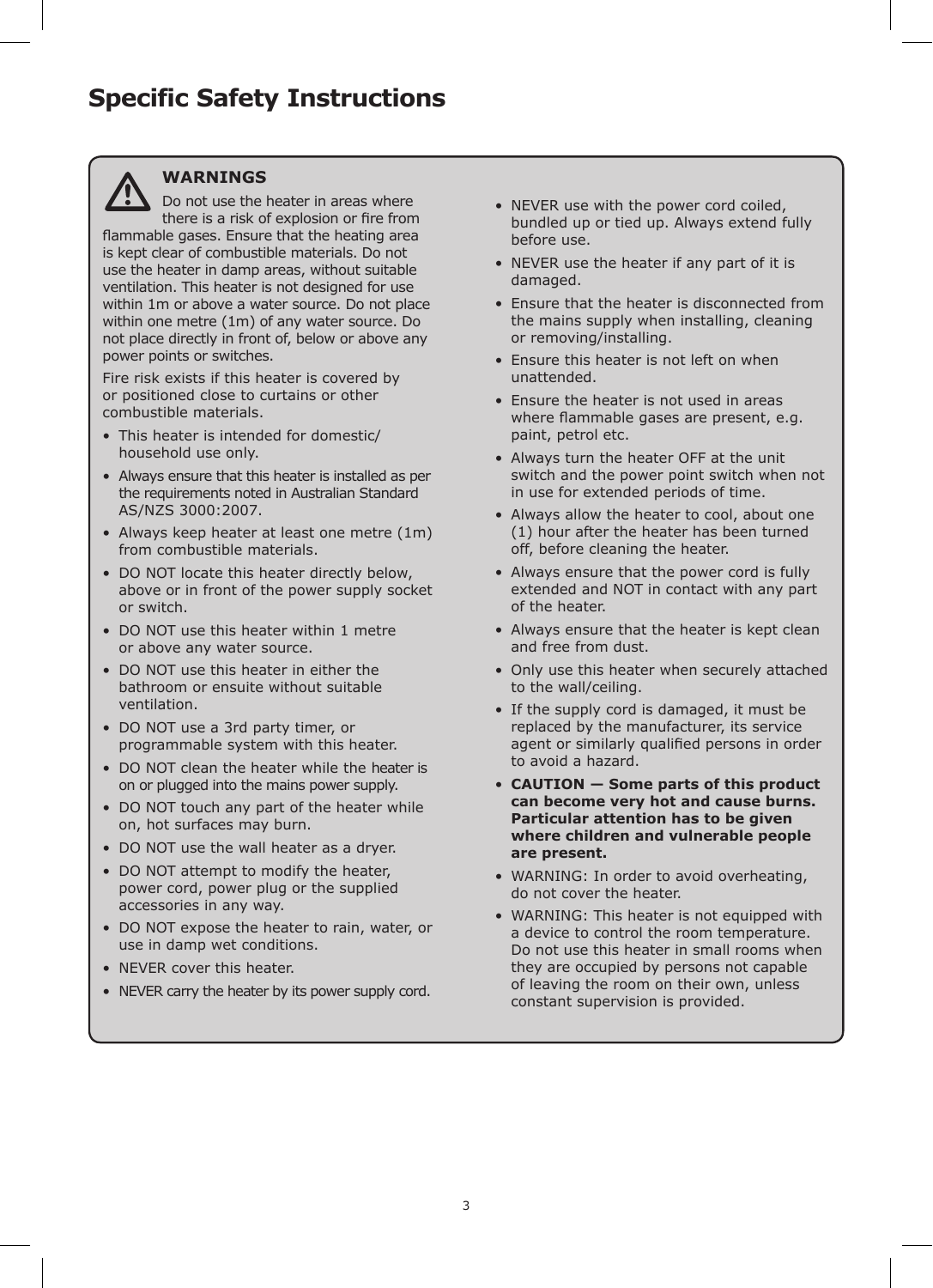![](_page_2_Picture_1.jpeg)

#### **WARNINGS**

Do not use the heater in areas where there is a risk of explosion or fire from flammable gases. Ensure that the heating area is kept clear of combustible materials. Do not use the heater in damp areas, without suitable ventilation. This heater is not designed for use within 1m or above a water source. Do not place within one metre (1m) of any water source. Do not place directly in front of, below or above any power points or switches.

Fire risk exists if this heater is covered by or positioned close to curtains or other combustible materials.

- This heater is intended for domestic/ household use only.
- Always ensure that this heater is installed as per the requirements noted in Australian Standard AS/NZS 3000:2007.
- Always keep heater at least one metre (1m) from combustible materials.
- DO NOT locate this heater directly below, above or in front of the power supply socket or switch.
- DO NOT use this heater within 1 metre or above any water source.
- DO NOT use this heater in either the bathroom or ensuite without suitable ventilation.
- DO NOT use a 3rd party timer, or programmable system with this heater.
- DO NOT clean the heater while the heater is on or plugged into the mains power supply.
- DO NOT touch any part of the heater while on, hot surfaces may burn.
- DO NOT use the wall heater as a dryer.
- DO NOT attempt to modify the heater, power cord, power plug or the supplied accessories in any way.
- DO NOT expose the heater to rain, water, or use in damp wet conditions.
- NEVER cover this heater.
- NEVER carry the heater by its power supply cord.
- NEVER use with the power cord coiled, bundled up or tied up. Always extend fully before use.
- NEVER use the heater if any part of it is damaged.
- Ensure that the heater is disconnected from the mains supply when installing, cleaning or removing/installing.
- Ensure this heater is not left on when unattended.
- Ensure the heater is not used in areas where flammable gases are present, e.g. paint, petrol etc.
- Always turn the heater OFF at the unit switch and the power point switch when not in use for extended periods of time.
- Always allow the heater to cool, about one (1) hour after the heater has been turned off, before cleaning the heater.
- Always ensure that the power cord is fully extended and NOT in contact with any part of the heater.
- Always ensure that the heater is kept clean and free from dust.
- Only use this heater when securely attached to the wall/ceiling.
- If the supply cord is damaged, it must be replaced by the manufacturer, its service agent or similarly qualified persons in order to avoid a hazard.
- **CAUTION Some parts of this product can become very hot and cause burns. Particular attention has to be given where children and vulnerable people are present.**
- WARNING: In order to avoid overheating, do not cover the heater.
- WARNING: This heater is not equipped with a device to control the room temperature. Do not use this heater in small rooms when they are occupied by persons not capable of leaving the room on their own, unless constant supervision is provided.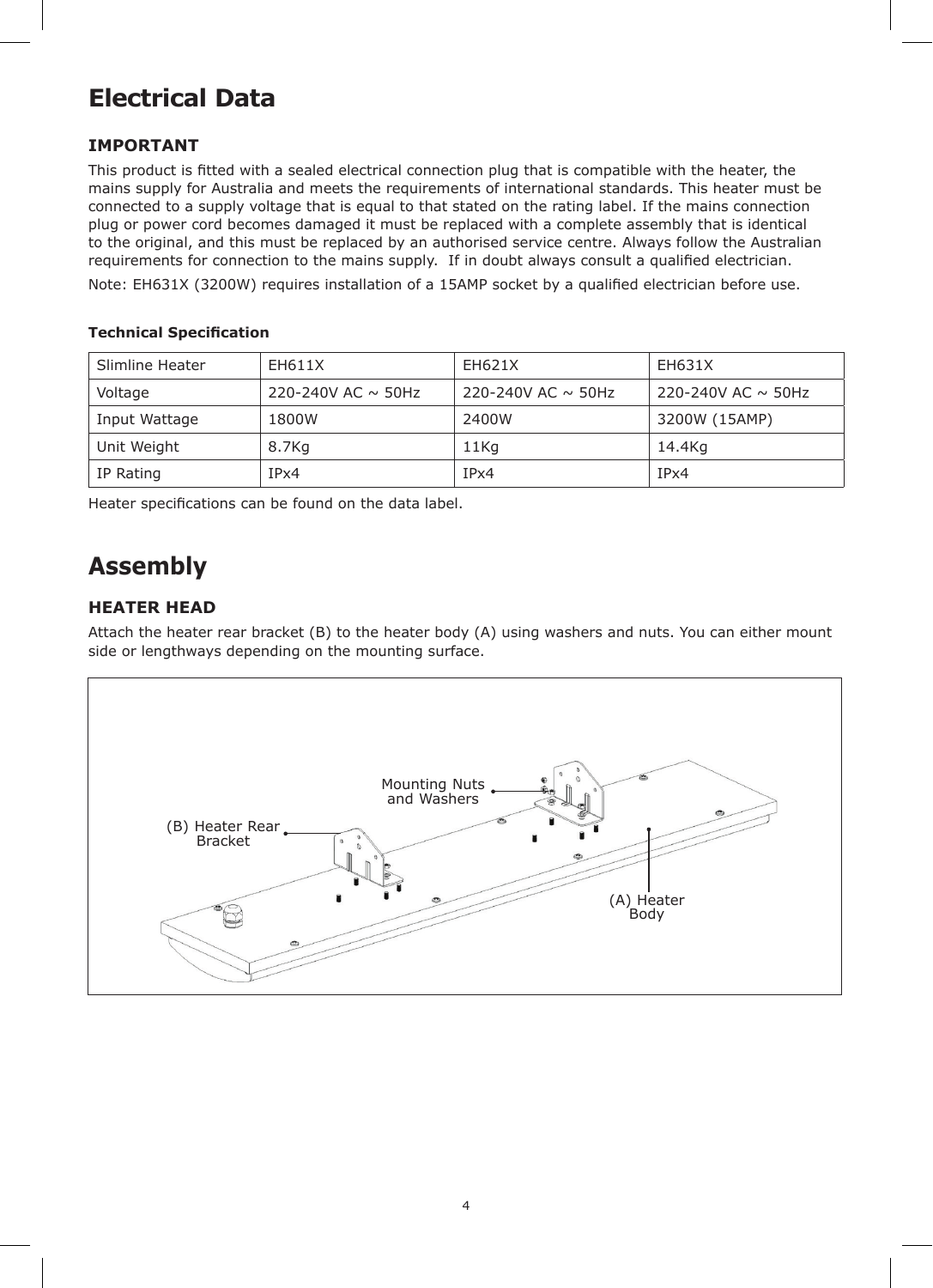## **Electrical Data**

#### **IMPORTANT**

This product is fitted with a sealed electrical connection plug that is compatible with the heater, the mains supply for Australia and meets the requirements of international standards. This heater must be connected to a supply voltage that is equal to that stated on the rating label. If the mains connection plug or power cord becomes damaged it must be replaced with a complete assembly that is identical to the original, and this must be replaced by an authorised service centre. Always follow the Australian requirements for connection to the mains supply. If in doubt always consult a qualified electrician.

Note: EH631X (3200W) requires installation of a 15AMP socket by a qualified electrician before use.

#### **Technical Specification**

| Slimline Heater | EH611X                  | EH621X                  | EH631X                  |
|-----------------|-------------------------|-------------------------|-------------------------|
| Voltage         | 220-240V AC $\sim$ 50Hz | 220-240V AC $\sim$ 50Hz | 220-240V AC $\sim$ 50Hz |
| Input Wattage   | 1800W                   | 2400W                   | 3200W (15AMP)           |
| Unit Weight     | 8.7Kg                   | 11Kg                    | 14.4Kg                  |
| IP Rating       | IPx4                    | IPx4                    | IPx4                    |

Heater specifications can be found on the data label.

## **Assembly**

#### **HEATER HEAD**

Attach the heater rear bracket (B) to the heater body (A) using washers and nuts. You can either mount side or lengthways depending on the mounting surface.

![](_page_3_Figure_10.jpeg)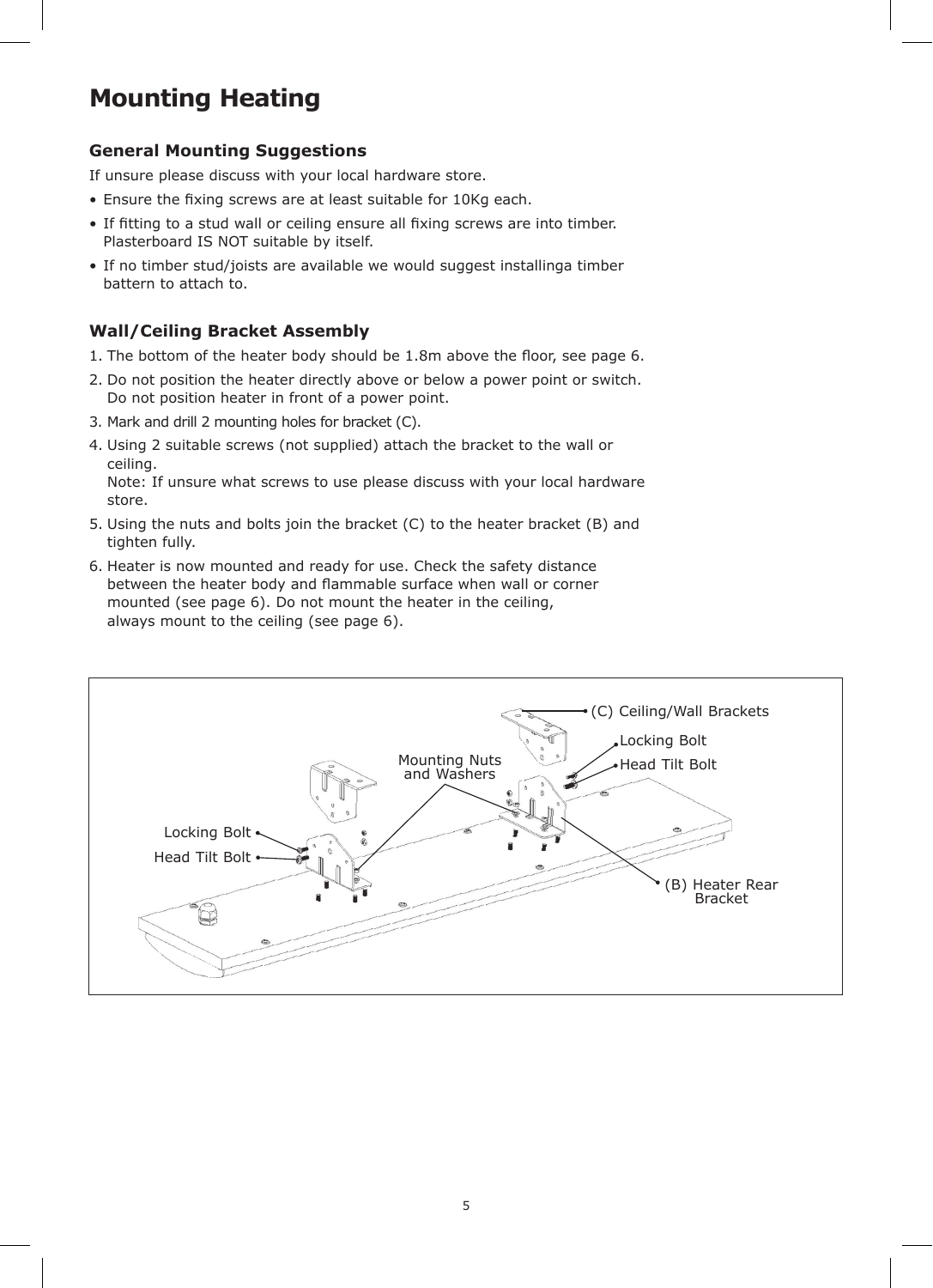## **Mounting Heating**

### **General Mounting Suggestions**

If unsure please discuss with your local hardware store.

- Ensure the fixing screws are at least suitable for 10Kg each.
- If fitting to a stud wall or ceiling ensure all fixing screws are into timber. Plasterboard IS NOT suitable by itself.
- If no timber stud/joists are available we would suggest installinga timber battern to attach to.

## **Wall/Ceiling Bracket Assembly**

- 1. The bottom of the heater body should be 1.8m above the floor, see page 6.
- 2. Do not position the heater directly above or below a power point or switch. Do not position heater in front of a power point.
- 3. Mark and drill 2 mounting holes for bracket (C).
- 4. Using 2 suitable screws (not supplied) attach the bracket to the wall or ceiling. Note: If unsure what screws to use please discuss with your local hardware

store.

- 5. Using the nuts and bolts join the bracket (C) to the heater bracket (B) and tighten fully.
- 6. Heater is now mounted and ready for use. Check the safety distance between the heater body and flammable surface when wall or corner mounted (see page 6). Do not mount the heater in the ceiling, always mount to the ceiling (see page 6).

![](_page_4_Picture_14.jpeg)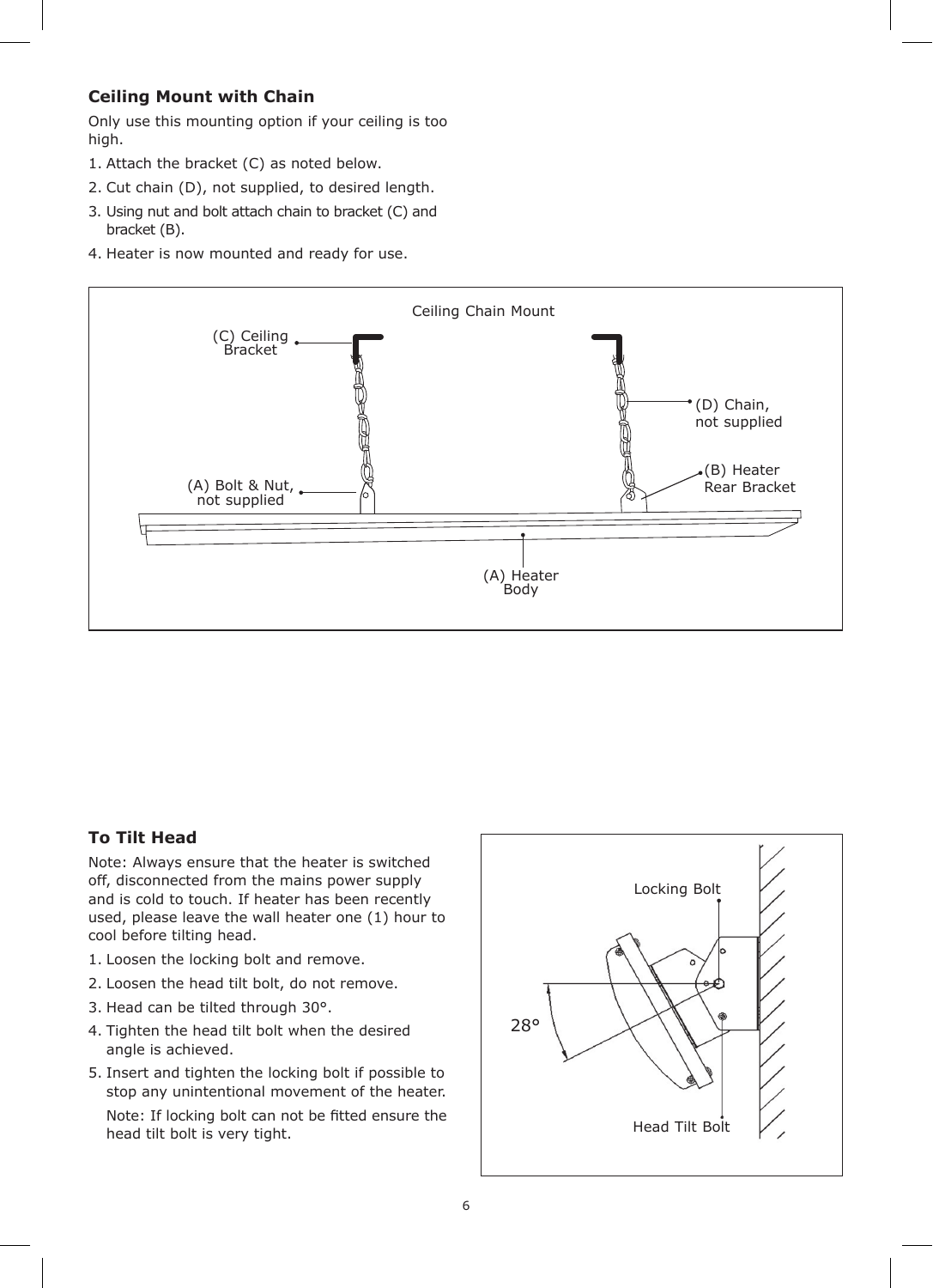#### **Ceiling Mount with Chain**

Only use this mounting option if your ceiling is too high.

- 1. Attach the bracket (C) as noted below.
- 2. Cut chain (D), not supplied, to desired length.
- 3. Using nut and bolt attach chain to bracket (C) and bracket (B).
- 4. Heater is now mounted and ready for use.

![](_page_5_Figure_6.jpeg)

#### **To Tilt Head**

Note: Always ensure that the heater is switched off, disconnected from the mains power supply and is cold to touch. If heater has been recently used, please leave the wall heater one (1) hour to cool before tilting head.

- 1. Loosen the locking bolt and remove.
- 2. Loosen the head tilt bolt, do not remove.
- 3. Head can be tilted through 30°.
- 4. Tighten the head tilt bolt when the desired angle is achieved.
- 5. Insert and tighten the locking bolt if possible to stop any unintentional movement of the heater.

Note: If locking bolt can not be fitted ensure the head tilt bolt is very tight.

![](_page_5_Figure_15.jpeg)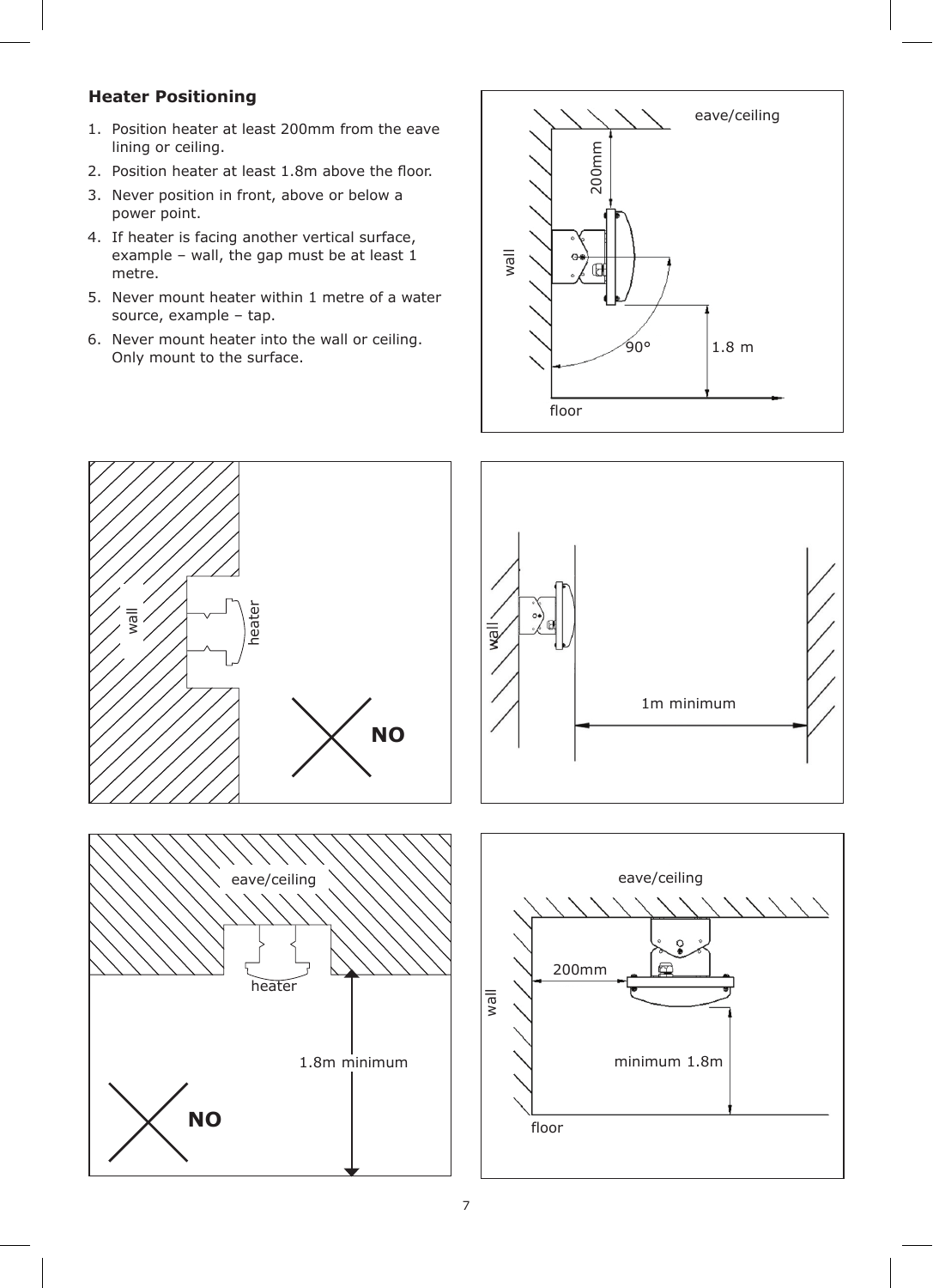#### **Heater Positioning**

- 1. Position heater at least 200mm from the eave lining or ceiling.
- 2. Position heater at least 1.8m above the floor.
- 3. Never position in front, above or below a power point.
- 4. If heater is facing another vertical surface, example – wall, the gap must be at least 1 metre.
- 5. Never mount heater within 1 metre of a water source, example – tap.
- 6. Never mount heater into the wall or ceiling. Only mount to the surface.

![](_page_6_Figure_7.jpeg)

![](_page_6_Figure_8.jpeg)